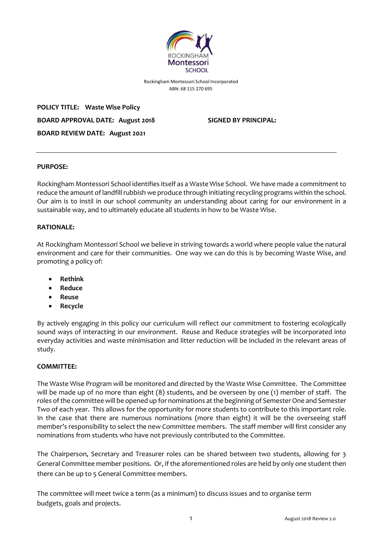

Rockingham Montessori School Incorporated ABN: 68 115 270 695

**POLICY TITLE: Waste Wise Policy BOARD APPROVAL DATE: August 2018 SIGNED BY PRINCIPAL: BOARD REVIEW DATE: August 2021**

#### **PURPOSE:**

Rockingham Montessori School identifies itself as a Waste Wise School. We have made a commitment to reduce the amount of landfill rubbish we produce through initiating recycling programs within the school. Our aim is to instil in our school community an understanding about caring for our environment in a sustainable way, and to ultimately educate all students in how to be Waste Wise.

#### **RATIONALE:**

At Rockingham Montessori School we believe in striving towards a world where people value the natural environment and care for their communities. One way we can do this is by becoming Waste Wise, and promoting a policy of:

- **Rethink**
- **Reduce**
- **Reuse**
- **Recycle**

By actively engaging in this policy our curriculum will reflect our commitment to fostering ecologically sound ways of interacting in our environment. Reuse and Reduce strategies will be incorporated into everyday activities and waste minimisation and litter reduction will be included in the relevant areas of study.

#### **COMMITTEE:**

The Waste Wise Program will be monitored and directed by the Waste Wise Committee. The Committee will be made up of no more than eight (8) students, and be overseen by one (1) member of staff. The roles of the committee will be opened up for nominations at the beginning of Semester One and Semester Two of each year. This allows for the opportunity for more students to contribute to this important role. In the case that there are numerous nominations (more than eight) it will be the overseeing staff member's responsibility to select the new Committee members. The staff member will first consider any nominations from students who have not previously contributed to the Committee.

The Chairperson, Secretary and Treasurer roles can be shared between two students, allowing for 3 General Committee member positions. Or, if the aforementioned roles are held by only one student then there can be up to 5 General Committee members.

The committee will meet twice a term (as a minimum) to discuss issues and to organise term budgets, goals and projects.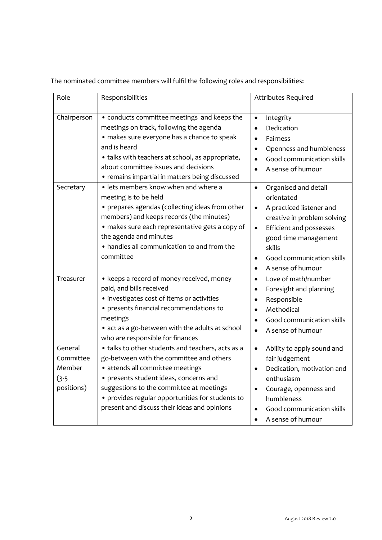| Role                                                    | Responsibilities                                                                                                                                                                                                                                                                                                            | <b>Attributes Required</b>                                                                                                                                                                                                                                                           |
|---------------------------------------------------------|-----------------------------------------------------------------------------------------------------------------------------------------------------------------------------------------------------------------------------------------------------------------------------------------------------------------------------|--------------------------------------------------------------------------------------------------------------------------------------------------------------------------------------------------------------------------------------------------------------------------------------|
| Chairperson                                             | • conducts committee meetings and keeps the<br>meetings on track, following the agenda<br>· makes sure everyone has a chance to speak<br>and is heard<br>• talks with teachers at school, as appropriate,<br>about committee issues and decisions<br>• remains impartial in matters being discussed                         | Integrity<br>$\bullet$<br>Dedication<br>$\bullet$<br>Fairness<br>$\bullet$<br>Openness and humbleness<br>Good communication skills<br>$\bullet$<br>A sense of humour                                                                                                                 |
| Secretary                                               | • lets members know when and where a<br>meeting is to be held<br>• prepares agendas (collecting ideas from other<br>members) and keeps records (the minutes)<br>· makes sure each representative gets a copy of<br>the agenda and minutes<br>• handles all communication to and from the<br>committee                       | Organised and detail<br>$\bullet$<br>orientated<br>A practiced listener and<br>$\bullet$<br>creative in problem solving<br><b>Efficient and possesses</b><br>$\bullet$<br>good time management<br>skills<br>Good communication skills<br>$\bullet$<br>A sense of humour<br>$\bullet$ |
| Treasurer                                               | • keeps a record of money received, money<br>paid, and bills received<br>· investigates cost of items or activities<br>• presents financial recommendations to<br>meetings<br>• act as a go-between with the adults at school<br>who are responsible for finances                                                           | Love of math/number<br>$\bullet$<br>Foresight and planning<br>$\bullet$<br>Responsible<br>$\bullet$<br>Methodical<br>Good communication skills<br>A sense of humour<br>$\bullet$                                                                                                     |
| General<br>Committee<br>Member<br>$(3-5)$<br>positions) | • talks to other students and teachers, acts as a<br>go-between with the committee and others<br>· attends all committee meetings<br>• presents student ideas, concerns and<br>suggestions to the committee at meetings<br>• provides regular opportunities for students to<br>present and discuss their ideas and opinions | Ability to apply sound and<br>$\bullet$<br>fair judgement<br>Dedication, motivation and<br>$\bullet$<br>enthusiasm<br>Courage, openness and<br>humbleness<br>Good communication skills<br>A sense of humour<br>$\bullet$                                                             |

The nominated committee members will fulfil the following roles and responsibilities: